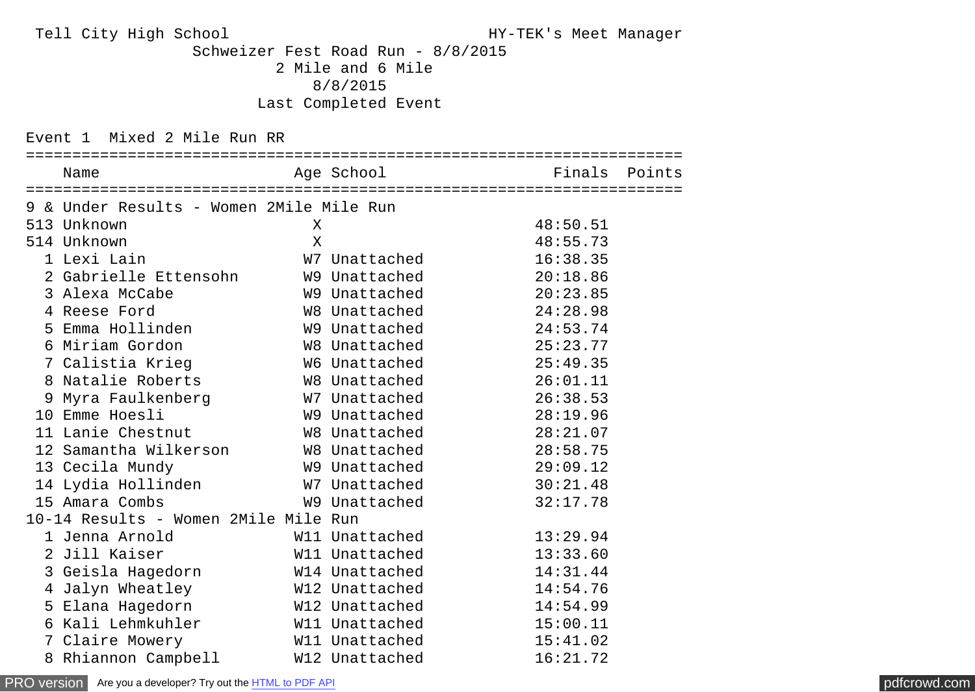Tell City High School HY-TEK's Meet Manager

 Schweizer Fest Road Run - 8/8/2015 2 Mile and 6 Mile 8/8/2015 Last Completed Event

Event 1 Mixed 2 Mile Run RR

| Name                                           |         |                |          |  |
|------------------------------------------------|---------|----------------|----------|--|
| 9 & Under Results - Women 2Mile Mile Run       |         |                |          |  |
| 513 Unknown                                    | $\sf X$ |                | 48:50.51 |  |
| 514 Unknown                                    | $\sf X$ |                | 48:55.73 |  |
| 1 Lexi Lain                                    |         | W7 Unattached  | 16:38.35 |  |
| 2 Gabrielle Ettensohn                          |         | W9 Unattached  | 20:18.86 |  |
| 3 Alexa McCabe                                 |         | W9 Unattached  | 20:23.85 |  |
| 4 Reese Ford                                   |         | W8 Unattached  | 24:28.98 |  |
| 5 Emma Hollinden                               |         | W9 Unattached  | 24:53.74 |  |
| 6 Miriam Gordon                                |         | W8 Unattached  | 25:23.77 |  |
| 7 Calistia Krieg                               |         | W6 Unattached  | 25:49.35 |  |
| 8 Natalie Roberts W8 Unattached                |         |                | 26:01.11 |  |
| 9 Myra Faulkenberg         W7 Unattached       |         |                | 26:38.53 |  |
| 10 Emme Hoesli                                 |         | W9 Unattached  | 28:19.96 |  |
| 11 Lanie Chestnut W8 Unattached                |         |                | 28:21.07 |  |
| 12 Samantha Wilkerson         W8 Unattached    |         |                | 28:58.75 |  |
| 13 Cecila Mundy                                |         | W9 Unattached  | 29:09.12 |  |
| 14 Lydia Hollinden             W7 Unattached   |         |                | 30:21.48 |  |
| 15 Amara Combs                                 |         | W9 Unattached  | 32:17.78 |  |
| 10-14 Results - Women 2Mile Mile Run           |         |                |          |  |
| 1 Jenna Arnold <b>Santa</b>                    |         | W11 Unattached | 13:29.94 |  |
| 2 Jill Kaiser                                  |         | W11 Unattached | 13:33.60 |  |
| 3 Geisla Hagedorn M14 Unattached               |         |                | 14:31.44 |  |
| 4 Jalyn Wheatley                               |         | W12 Unattached | 14:54.76 |  |
| 5 Elana Hagedorn W12 Unattached                |         |                | 14:54.99 |  |
| 6 Kali Lehmkuhler               W11 Unattached |         |                | 15:00.11 |  |
| 7 Claire Mowery                                |         | W11 Unattached | 15:41.02 |  |
| 8 Rhiannon Campbell W12 Unattached             |         |                | 16:21.72 |  |

[PRO version](http://pdfcrowd.com/customize/) Are you a developer? Try out th[e HTML to PDF API](http://pdfcrowd.com/html-to-pdf-api/?ref=pdf) [pdfcrowd.com](http://pdfcrowd.com)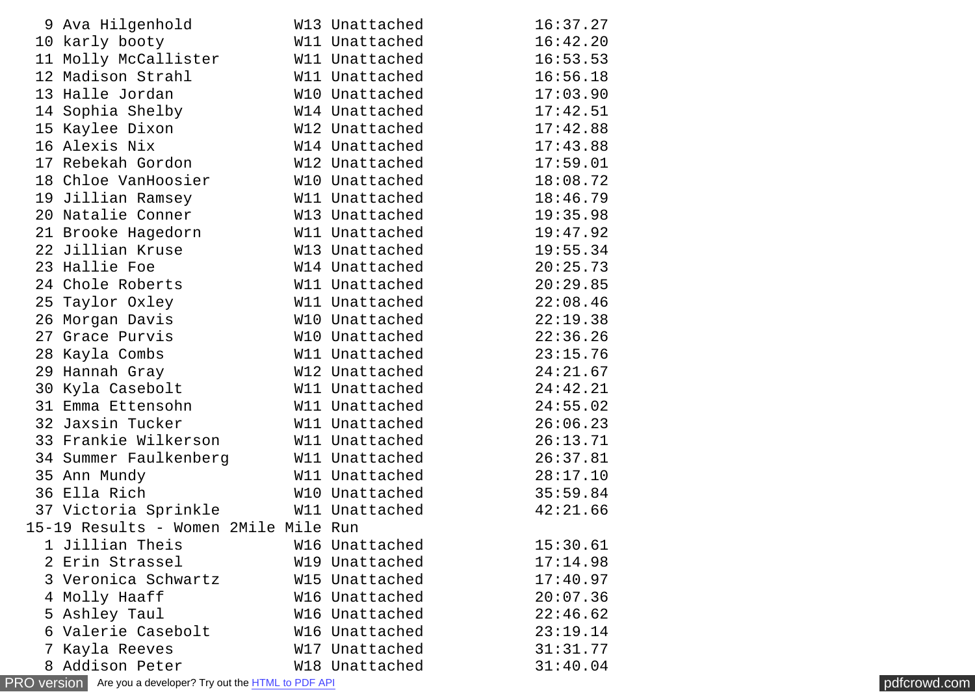|                | 9 Ava Hilgenhold                     | W13 Unattached             | 16:37.27 |
|----------------|--------------------------------------|----------------------------|----------|
|                | 10 karly booty                       | W11 Unattached             | 16:42.20 |
|                | 11 Molly McCallister                 | W11 Unattached             | 16:53.53 |
|                | 12 Madison Strahl                    | W11 Unattached             | 16:56.18 |
|                | 13 Halle Jordan                      | W10 Unattached             | 17:03.90 |
|                | 14 Sophia Shelby                     | W14 Unattached             | 17:42.51 |
|                | 15 Kaylee Dixon                      | W12 Unattached             | 17:42.88 |
|                | 16 Alexis Nix                        | W14 Unattached             | 17:43.88 |
|                | 17 Rebekah Gordon                    | W12 Unattached             | 17:59.01 |
|                | 18 Chloe VanHoosier                  | W10 Unattached             | 18:08.72 |
|                | 19 Jillian Ramsey                    | W11 Unattached             | 18:46.79 |
|                | 20 Natalie Conner                    | W13 Unattached             | 19:35.98 |
|                | 21 Brooke Hagedorn                   | W11 Unattached             | 19:47.92 |
|                | 22 Jillian Kruse                     | W13 Unattached             | 19:55.34 |
|                | 23 Hallie Foe                        | W14 Unattached             | 20:25.73 |
|                | 24 Chole Roberts                     | W11 Unattached             | 20:29.85 |
|                | 25 Taylor Oxley                      | W11 Unattached             | 22:08.46 |
|                | 26 Morgan Davis                      | W10 Unattached             | 22:19.38 |
|                | 27 Grace Purvis                      | W <sub>10</sub> Unattached | 22:36.26 |
|                | 28 Kayla Combs                       | W11 Unattached             | 23:15.76 |
|                | 29 Hannah Gray                       | W12 Unattached             | 24:21.67 |
|                | 30 Kyla Casebolt                     | W11 Unattached             | 24:42.21 |
|                | 31 Emma Ettensohn                    | W11 Unattached             | 24:55.02 |
|                | 32 Jaxsin Tucker                     | W11 Unattached             | 26:06.23 |
|                | 33 Frankie Wilkerson                 | W11 Unattached             | 26:13.71 |
|                | 34 Summer Faulkenberg                | W11 Unattached             | 26:37.81 |
|                | 35 Ann Mundy                         | W11 Unattached             | 28:17.10 |
|                | 36 Ella Rich                         | W10 Unattached             | 35:59.84 |
|                | 37 Victoria Sprinkle                 | W11 Unattached             | 42:21.66 |
|                | 15-19 Results - Women 2Mile Mile Run |                            |          |
|                | 1 Jillian Theis                      | W16 Unattached             | 15:30.61 |
|                | 2 Erin Strassel                      | W19 Unattached             | 17:14.98 |
|                | 3 Veronica Schwartz                  | W15 Unattached             | 17:40.97 |
|                | 4 Molly Haaff                        | W16 Unattached             | 20:07.36 |
|                | 5 Ashley Taul                        | W16 Unattached             | 22:46.62 |
|                | 6 Valerie Casebolt                   | W16 Unattached             | 23:19.14 |
| $7\phantom{.}$ | Kayla Reeves                         | W17 Unattached             | 31:31.77 |
|                | 8 Addison Peter                      | W18 Unattached             | 31:40.04 |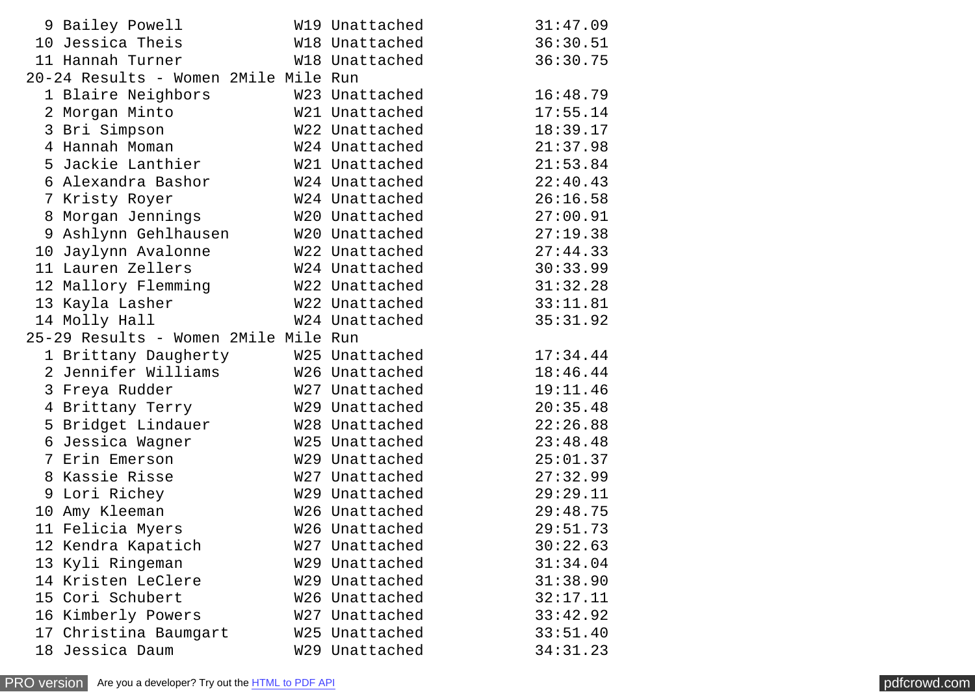|    | 9 Bailey Powell                      | W19 Unattached | 31:47.09 |
|----|--------------------------------------|----------------|----------|
|    | 10 Jessica Theis                     | W18 Unattached | 36:30.51 |
|    | 11 Hannah Turner                     | W18 Unattached | 36:30.75 |
|    | 20-24 Results - Women 2Mile Mile Run |                |          |
|    | 1 Blaire Neighbors                   | W23 Unattached | 16:48.79 |
|    | 2 Morgan Minto                       | W21 Unattached | 17:55.14 |
|    | 3 Bri Simpson                        | W22 Unattached | 18:39.17 |
|    | 4 Hannah Moman                       | W24 Unattached | 21:37.98 |
|    | 5 Jackie Lanthier                    | W21 Unattached | 21:53.84 |
|    | 6 Alexandra Bashor                   | W24 Unattached | 22:40.43 |
|    | 7 Kristy Royer                       | W24 Unattached | 26:16.58 |
|    | 8 Morgan Jennings                    | W20 Unattached | 27:00.91 |
|    | 9 Ashlynn Gehlhausen                 | W20 Unattached | 27:19.38 |
|    | 10 Jaylynn Avalonne                  | W22 Unattached | 27:44.33 |
|    | 11 Lauren Zellers                    | W24 Unattached | 30:33.99 |
|    | 12 Mallory Flemming                  | W22 Unattached | 31:32.28 |
|    | 13 Kayla Lasher                      | W22 Unattached | 33:11.81 |
|    | 14 Molly Hall                        | W24 Unattached | 35:31.92 |
|    | 25-29 Results - Women 2Mile Mile Run |                |          |
|    | 1 Brittany Daugherty                 | W25 Unattached | 17:34.44 |
|    | 2 Jennifer Williams                  | W26 Unattached | 18:46.44 |
|    | 3 Freya Rudder                       | W27 Unattached | 19:11.46 |
|    | 4 Brittany Terry                     | W29 Unattached | 20:35.48 |
|    | 5 Bridget Lindauer                   | W28 Unattached | 22:26.88 |
|    | 6 Jessica Wagner                     | W25 Unattached | 23:48.48 |
|    | 7 Erin Emerson                       | W29 Unattached | 25:01.37 |
|    | 8 Kassie Risse                       | W27 Unattached | 27:32.99 |
|    | 9 Lori Richey                        | W29 Unattached | 29:29.11 |
|    | 10 Amy Kleeman                       | W26 Unattached | 29:48.75 |
|    | 11 Felicia Myers                     | W26 Unattached | 29:51.73 |
|    | 12 Kendra Kapatich                   | W27 Unattached | 30:22.63 |
|    | 13 Kyli Ringeman                     | W29 Unattached | 31:34.04 |
|    | 14 Kristen LeClere                   | W29 Unattached | 31:38.90 |
|    | 15 Cori Schubert                     | W26 Unattached | 32:17.11 |
|    | 16 Kimberly Powers                   | W27 Unattached | 33:42.92 |
|    | 17 Christina Baumgart                | W25 Unattached | 33:51.40 |
| 18 | Jessica Daum                         | W29 Unattached | 34:31.23 |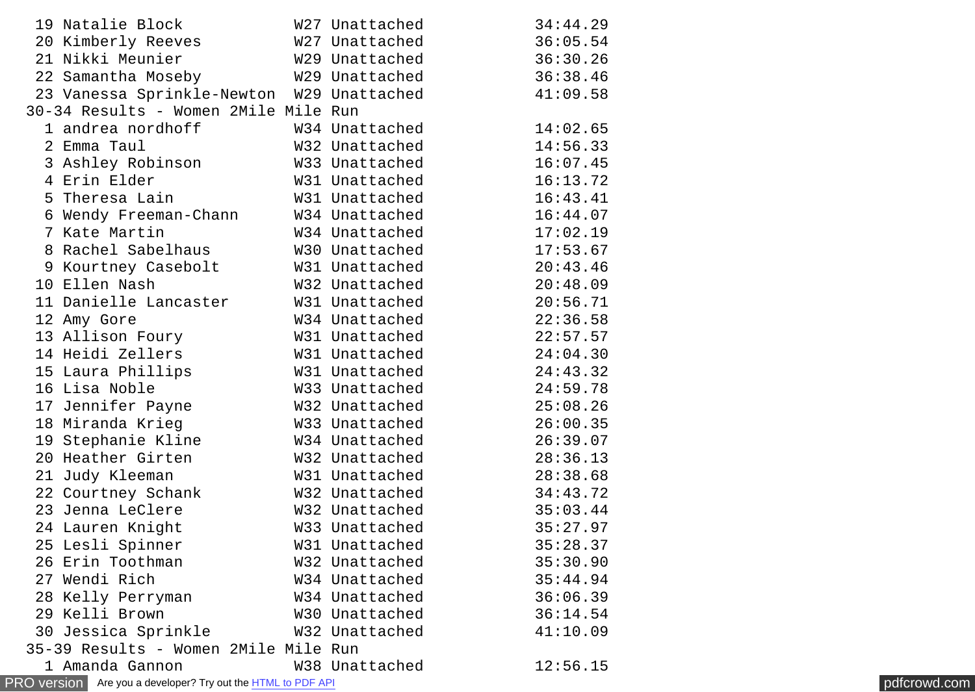| 19 Natalie Block                                                    | W27 Unattached | 34:44.29 |              |
|---------------------------------------------------------------------|----------------|----------|--------------|
| 20 Kimberly Reeves                                                  | W27 Unattached | 36:05.54 |              |
| 21 Nikki Meunier                                                    | W29 Unattached | 36:30.26 |              |
| 22 Samantha Moseby                                                  | W29 Unattached | 36:38.46 |              |
| 23 Vanessa Sprinkle-Newton W29 Unattached                           |                | 41:09.58 |              |
| 30-34 Results - Women 2Mile Mile Run                                |                |          |              |
| 1 andrea nordhoff                                                   | W34 Unattached | 14:02.65 |              |
| 2 Emma Taul                                                         | W32 Unattached | 14:56.33 |              |
| 3 Ashley Robinson                                                   | W33 Unattached | 16:07.45 |              |
| 4 Erin Elder                                                        | W31 Unattached | 16:13.72 |              |
| 5 Theresa Lain                                                      | W31 Unattached | 16:43.41 |              |
| 6 Wendy Freeman-Chann                                               | W34 Unattached | 16:44.07 |              |
| 7 Kate Martin                                                       | W34 Unattached | 17:02.19 |              |
| 8 Rachel Sabelhaus                                                  | W30 Unattached | 17:53.67 |              |
| 9 Kourtney Casebolt                                                 | W31 Unattached | 20:43.46 |              |
| 10 Ellen Nash                                                       | W32 Unattached | 20:48.09 |              |
| 11 Danielle Lancaster                                               | W31 Unattached | 20:56.71 |              |
| 12 Amy Gore                                                         | W34 Unattached | 22:36.58 |              |
| 13 Allison Foury                                                    | W31 Unattached | 22:57.57 |              |
| 14 Heidi Zellers                                                    | W31 Unattached | 24:04.30 |              |
| 15 Laura Phillips                                                   | W31 Unattached | 24:43.32 |              |
| 16 Lisa Noble                                                       | W33 Unattached | 24:59.78 |              |
| 17 Jennifer Payne                                                   | W32 Unattached | 25:08.26 |              |
| 18 Miranda Krieg                                                    | W33 Unattached | 26:00.35 |              |
| 19 Stephanie Kline                                                  | W34 Unattached | 26:39.07 |              |
| 20 Heather Girten                                                   | W32 Unattached | 28:36.13 |              |
| 21 Judy Kleeman                                                     | W31 Unattached | 28:38.68 |              |
| 22 Courtney Schank                                                  | W32 Unattached | 34:43.72 |              |
| 23 Jenna LeClere                                                    | W32 Unattached | 35:03.44 |              |
| 24 Lauren Knight                                                    | W33 Unattached | 35:27.97 |              |
| 25 Lesli Spinner                                                    | W31 Unattached | 35:28.37 |              |
| 26 Erin Toothman                                                    | W32 Unattached | 35:30.90 |              |
| 27 Wendi Rich                                                       | W34 Unattached | 35:44.94 |              |
| 28 Kelly Perryman                                                   | W34 Unattached | 36:06.39 |              |
| 29 Kelli Brown                                                      | W30 Unattached | 36:14.54 |              |
| 30 Jessica Sprinkle                                                 | W32 Unattached | 41:10.09 |              |
| 35-39 Results - Women 2Mile Mile Run                                |                |          |              |
| 1 Amanda Gannon                                                     | W38 Unattached | 12:56.15 |              |
| PRO version Are you a developer? Try out the <b>HTML</b> to PDF API |                |          | pdfcrowd.com |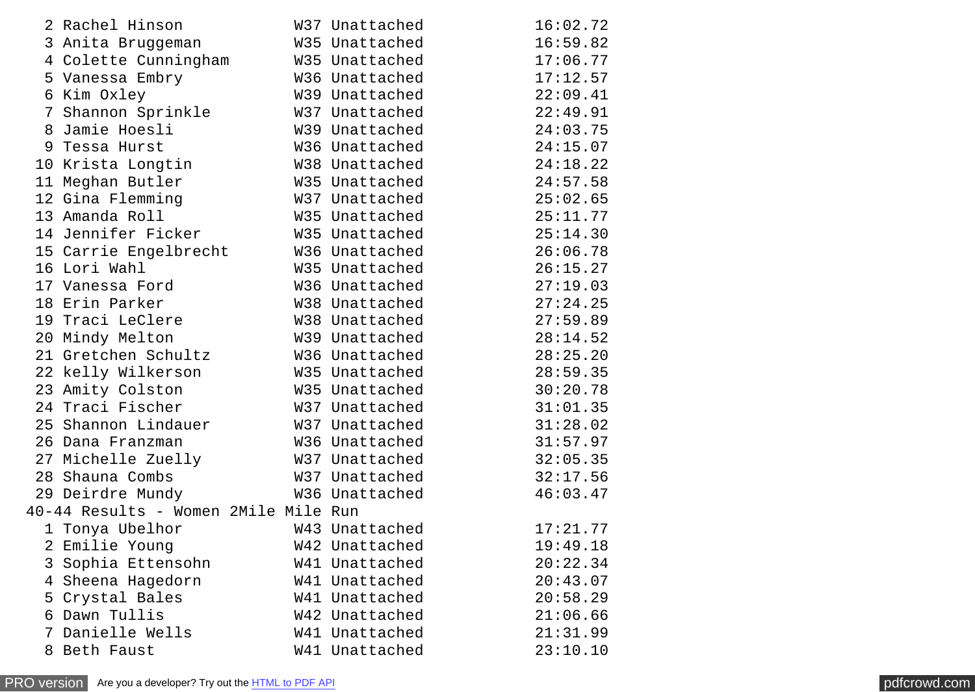|   | 2 Rachel Hinson                             | W37 Unattached | 16:02.72 |
|---|---------------------------------------------|----------------|----------|
|   | 3 Anita Bruggeman                           | W35 Unattached | 16:59.82 |
|   | 4 Colette Cunningham                        | W35 Unattached | 17:06.77 |
|   | 5 Vanessa Embry                             | W36 Unattached | 17:12.57 |
|   | 6 Kim Oxley                                 | W39 Unattached | 22:09.41 |
|   | 7 Shannon Sprinkle                          | W37 Unattached | 22:49.91 |
|   | 8 Jamie Hoesli                              | W39 Unattached | 24:03.75 |
|   | 9 Tessa Hurst                               | W36 Unattached | 24:15.07 |
|   | 10 Krista Longtin                           | W38 Unattached | 24:18.22 |
|   | 11 Meghan Butler                            | W35 Unattached | 24:57.58 |
|   | 12 Gina Flemming                            | W37 Unattached | 25:02.65 |
|   | 13 Amanda Roll                              | W35 Unattached | 25:11.77 |
|   | 14 Jennifer Ficker           W35 Unattached |                | 25:14.30 |
|   | 15 Carrie Engelbrecht                       | W36 Unattached | 26:06.78 |
|   | 16 Lori Wahl                                | W35 Unattached | 26:15.27 |
|   | 17 Vanessa Ford                             | W36 Unattached | 27:19.03 |
|   | 18 Erin Parker                              | W38 Unattached | 27:24.25 |
|   | 19 Traci LeClere                            | W38 Unattached | 27:59.89 |
|   | 20 Mindy Melton                             | W39 Unattached | 28:14.52 |
|   | 21 Gretchen Schultz                         | W36 Unattached | 28:25.20 |
|   | 22 kelly Wilkerson                          | W35 Unattached | 28:59.35 |
|   | 23 Amity Colston                            | W35 Unattached | 30:20.78 |
|   | 24 Traci Fischer                            | W37 Unattached | 31:01.35 |
|   | 25 Shannon Lindauer W37 Unattached          |                | 31:28.02 |
|   | 26 Dana Franzman                            | W36 Unattached | 31:57.97 |
|   | 27 Michelle Zuelly                          | W37 Unattached | 32:05.35 |
|   | 28 Shauna Combs                             | W37 Unattached | 32:17.56 |
|   | 29 Deirdre Mundy                            | W36 Unattached | 46:03.47 |
|   | 40-44 Results - Women 2Mile Mile Run        |                |          |
|   | 1 Tonya Ubelhor                             | W43 Unattached | 17:21.77 |
|   | 2 Emilie Young                              | W42 Unattached | 19:49.18 |
|   | 3 Sophia Ettensohn                          | W41 Unattached | 20:22.34 |
| 4 | Sheena Hagedorn                             | W41 Unattached | 20:43.07 |
| 5 | Crystal Bales                               | W41 Unattached | 20:58.29 |
|   | 6 Dawn Tullis                               | W42 Unattached | 21:06.66 |
|   | 7 Danielle Wells                            | W41 Unattached | 21:31.99 |
|   | 8 Beth Faust                                | W41 Unattached | 23:10.10 |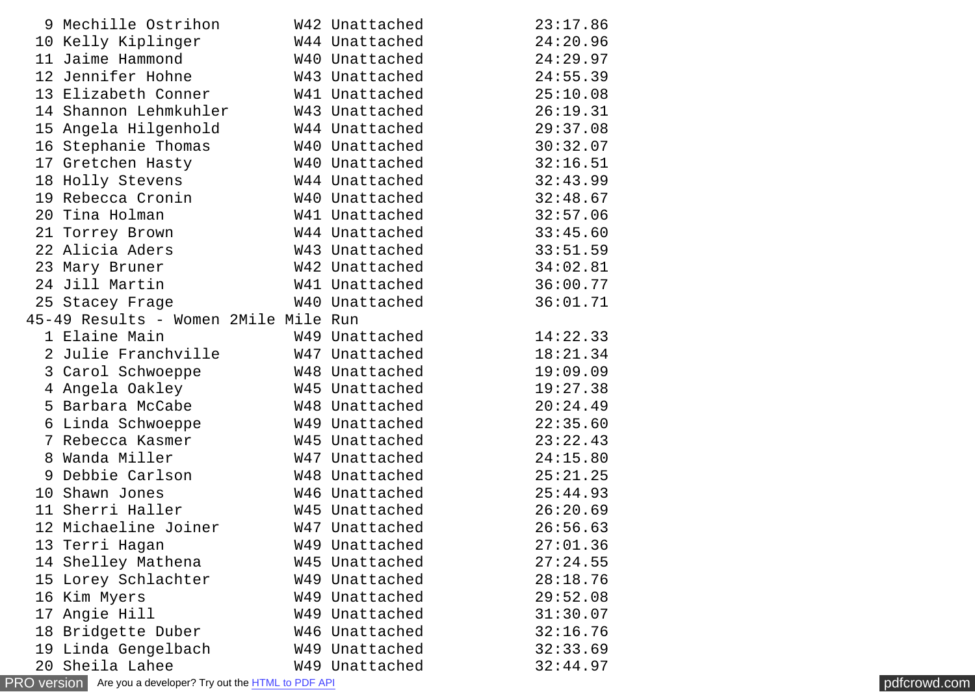|    | 9 Mechille Ostrihon W42 Unattached             |                | 23:17.86 |
|----|------------------------------------------------|----------------|----------|
|    | 10 Kelly Kiplinger                             | W44 Unattached | 24:20.96 |
|    | 11 Jaime Hammond                               | W40 Unattached | 24:29.97 |
|    | 12 Jennifer Hohne M43 Unattached               |                | 24:55.39 |
|    | 13 Elizabeth Conner W41 Unattached             |                | 25:10.08 |
|    | 14 Shannon Lehmkuhler W43 Unattached           |                | 26:19.31 |
|    | 15 Angela Hilgenhold                           | W44 Unattached | 29:37.08 |
|    | 16 Stephanie Thomas                            | W40 Unattached | 30:32.07 |
|    | 17 Gretchen Hasty                              | W40 Unattached | 32:16.51 |
|    | 18 Holly Stevens                               | W44 Unattached | 32:43.99 |
|    | 19 Rebecca Cronin W40 Unattached               |                | 32:48.67 |
|    | 20 Tina Holman                                 | W41 Unattached | 32:57.06 |
|    | 21 Torrey Brown                                | W44 Unattached | 33:45.60 |
|    | 22 Alicia Aders                                | W43 Unattached | 33:51.59 |
|    | W42 Unattached<br>23 Mary Bruner               |                | 34:02.81 |
|    | 24 Jill Martin                                 | w41 Unattached | 36:00.77 |
|    | 25 Stacey Frage                                | W40 Unattached | 36:01.71 |
|    | 45-49 Results - Women 2Mile Mile Run           |                |          |
|    | 1 Elaine Main                                  | W49 Unattached | 14:22.33 |
|    | 2 Julie Franchville M47 Unattached             |                | 18:21.34 |
|    | 3 Carol Schwoeppe                              | W48 Unattached | 19:09.09 |
|    | 4 Angela Oakley                                | W45 Unattached | 19:27.38 |
|    | 5 Barbara McCabe 6 648 Unattached              |                | 20:24.49 |
|    | 6 Linda Schwoeppe               W49 Unattached |                | 22:35.60 |
|    | 7 Rebecca Kasmer M45 Unattached                |                | 23:22.43 |
|    | 8 Wanda Miller                                 | W47 Unattached | 24:15.80 |
|    | 9 Debbie Carlson W48 Unattached                |                | 25:21.25 |
|    | 10 Shawn Jones                                 | W46 Unattached | 25:44.93 |
|    | 11 Sherri Haller                               | W45 Unattached | 26:20.69 |
|    | 12 Michaeline Joiner                           | W47 Unattached | 26:56.63 |
|    | 13 Terri Hagan                                 | W49 Unattached | 27:01.36 |
|    | 14 Shelley Mathena                             | W45 Unattached | 27:24.55 |
| 15 | Lorey Schlachter                               | W49 Unattached | 28:18.76 |
| 16 | Kim Myers                                      | W49 Unattached | 29:52.08 |
|    | 17 Angie Hill                                  | W49 Unattached | 31:30.07 |
| 18 | Bridgette Duber                                | W46 Unattached | 32:16.76 |
|    | 19 Linda Gengelbach                            | W49 Unattached | 32:33.69 |
|    | 20 Sheila Lahee                                | W49 Unattached | 32:44.97 |
|    |                                                |                |          |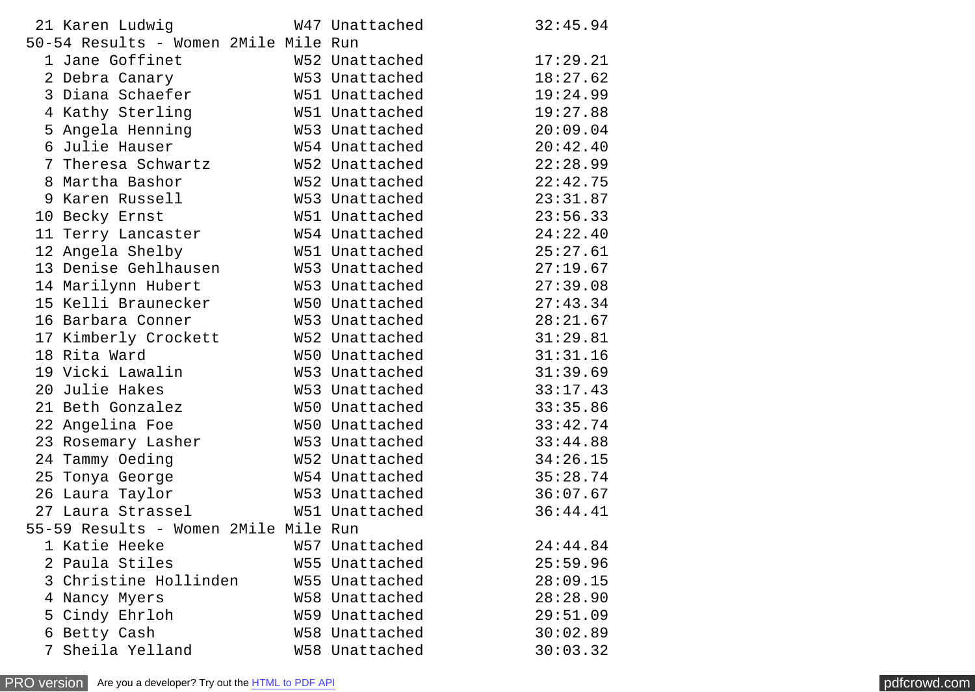|   | 21 Karen Ludwig                      | W47 Unattached | 32:45.94 |
|---|--------------------------------------|----------------|----------|
|   | 50-54 Results - Women 2Mile Mile Run |                |          |
|   | 1 Jane Goffinet                      | W52 Unattached | 17:29.21 |
|   | 2 Debra Canary                       | W53 Unattached | 18:27.62 |
|   | 3 Diana Schaefer                     | W51 Unattached | 19:24.99 |
|   | 4 Kathy Sterling                     | W51 Unattached | 19:27.88 |
|   | 5 Angela Henning                     | W53 Unattached | 20:09.04 |
|   | 6 Julie Hauser                       | W54 Unattached | 20:42.40 |
|   | 7 Theresa Schwartz                   | W52 Unattached | 22:28.99 |
|   | 8 Martha Bashor                      | W52 Unattached | 22:42.75 |
|   | 9 Karen Russell                      | W53 Unattached | 23:31.87 |
|   | 10 Becky Ernst                       | W51 Unattached | 23:56.33 |
|   | 11 Terry Lancaster                   | W54 Unattached | 24:22.40 |
|   | 12 Angela Shelby                     | W51 Unattached | 25:27.61 |
|   | 13 Denise Gehlhausen                 | W53 Unattached | 27:19.67 |
|   | 14 Marilynn Hubert                   | W53 Unattached | 27:39.08 |
|   | 15 Kelli Braunecker                  | W50 Unattached | 27:43.34 |
|   | 16 Barbara Conner                    | W53 Unattached | 28:21.67 |
|   | 17 Kimberly Crockett                 | W52 Unattached | 31:29.81 |
|   | 18 Rita Ward                         | W50 Unattached | 31:31.16 |
|   | 19 Vicki Lawalin                     | W53 Unattached | 31:39.69 |
|   | 20 Julie Hakes                       | W53 Unattached | 33:17.43 |
|   | 21 Beth Gonzalez                     | W50 Unattached | 33:35.86 |
|   | 22 Angelina Foe                      | W50 Unattached | 33:42.74 |
|   | 23 Rosemary Lasher                   | W53 Unattached | 33:44.88 |
|   | 24 Tammy Oeding                      | W52 Unattached | 34:26.15 |
|   | 25 Tonya George                      | W54 Unattached | 35:28.74 |
|   | 26 Laura Taylor                      | W53 Unattached | 36:07.67 |
|   | 27 Laura Strassel                    | W51 Unattached | 36:44.41 |
|   | 55-59 Results - Women 2Mile Mile Run |                |          |
|   | 1 Katie Heeke                        | W57 Unattached | 24:44.84 |
|   | 2 Paula Stiles                       | W55 Unattached | 25:59.96 |
|   | 3 Christine Hollinden                | W55 Unattached | 28:09.15 |
|   | 4 Nancy Myers                        | W58 Unattached | 28:28.90 |
|   | 5 Cindy Ehrloh                       | W59 Unattached | 29:51.09 |
| 6 | Betty Cash                           | W58 Unattached | 30:02.89 |
|   | 7 Sheila Yelland                     | W58 Unattached | 30:03.32 |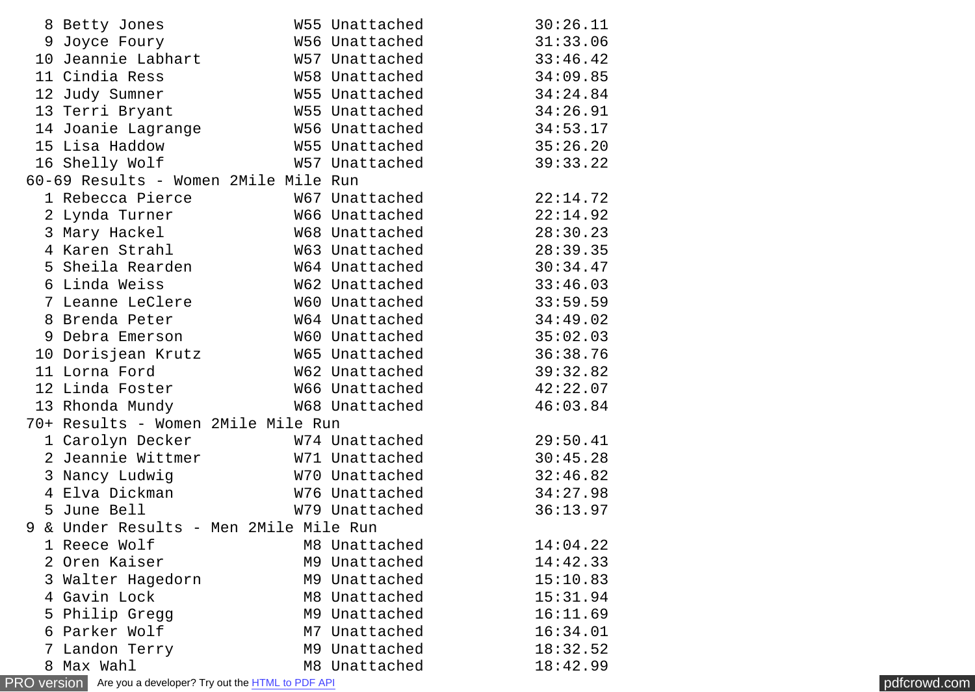| 8 Betty Jones                          | W55 Unattached | 30:26.11 |
|----------------------------------------|----------------|----------|
| 9 Joyce Foury                          | W56 Unattached | 31:33.06 |
| 10 Jeannie Labhart                     | W57 Unattached | 33:46.42 |
| 11 Cindia Ress                         | W58 Unattached | 34:09.85 |
| 12 Judy Sumner                         | W55 Unattached | 34:24.84 |
| 13 Terri Bryant                        | W55 Unattached | 34:26.91 |
| 14 Joanie Lagrange                     | W56 Unattached | 34:53.17 |
| 15 Lisa Haddow                         | W55 Unattached | 35:26.20 |
| 16 Shelly Wolf                         | W57 Unattached | 39:33.22 |
| 60-69 Results - Women 2Mile Mile Run   |                |          |
| 1 Rebecca Pierce                       | W67 Unattached | 22:14.72 |
| 2 Lynda Turner                         | W66 Unattached | 22:14.92 |
| 3 Mary Hackel                          | W68 Unattached | 28:30.23 |
| 4 Karen Strahl                         | W63 Unattached | 28:39.35 |
| 5 Sheila Rearden                       | W64 Unattached | 30:34.47 |
| 6 Linda Weiss                          | W62 Unattached | 33:46.03 |
| 7 Leanne LeClere                       | W60 Unattached | 33:59.59 |
| 8 Brenda Peter                         | W64 Unattached | 34:49.02 |
| 9 Debra Emerson                        | W60 Unattached | 35:02.03 |
| 10 Dorisjean Krutz                     | W65 Unattached | 36:38.76 |
| 11 Lorna Ford                          | W62 Unattached | 39:32.82 |
| 12 Linda Foster                        | W66 Unattached | 42:22.07 |
| 13 Rhonda Mundy                        | W68 Unattached | 46:03.84 |
| 70+ Results - Women 2Mile Mile Run     |                |          |
| 1 Carolyn Decker                       | W74 Unattached | 29:50.41 |
| 2 Jeannie Wittmer                      | W71 Unattached | 30:45.28 |
| 3 Nancy Ludwig                         | W70 Unattached | 32:46.82 |
| 4 Elva Dickman                         | W76 Unattached | 34:27.98 |
| 5 June Bell                            | W79 Unattached | 36:13.97 |
| 9 & Under Results - Men 2Mile Mile Run |                |          |
| 1 Reece Wolf                           | M8 Unattached  | 14:04.22 |
| 2 Oren Kaiser                          | M9 Unattached  | 14:42.33 |
| 3 Walter Hagedorn                      | M9 Unattached  | 15:10.83 |
| 4 Gavin Lock                           | M8 Unattached  | 15:31.94 |
| 5 Philip Gregg                         | M9 Unattached  | 16:11.69 |
| 6 Parker Wolf                          | M7 Unattached  | 16:34.01 |
| 7 Landon Terry                         | M9 Unattached  | 18:32.52 |
| 8 Max Wahl                             | M8 Unattached  | 18:42.99 |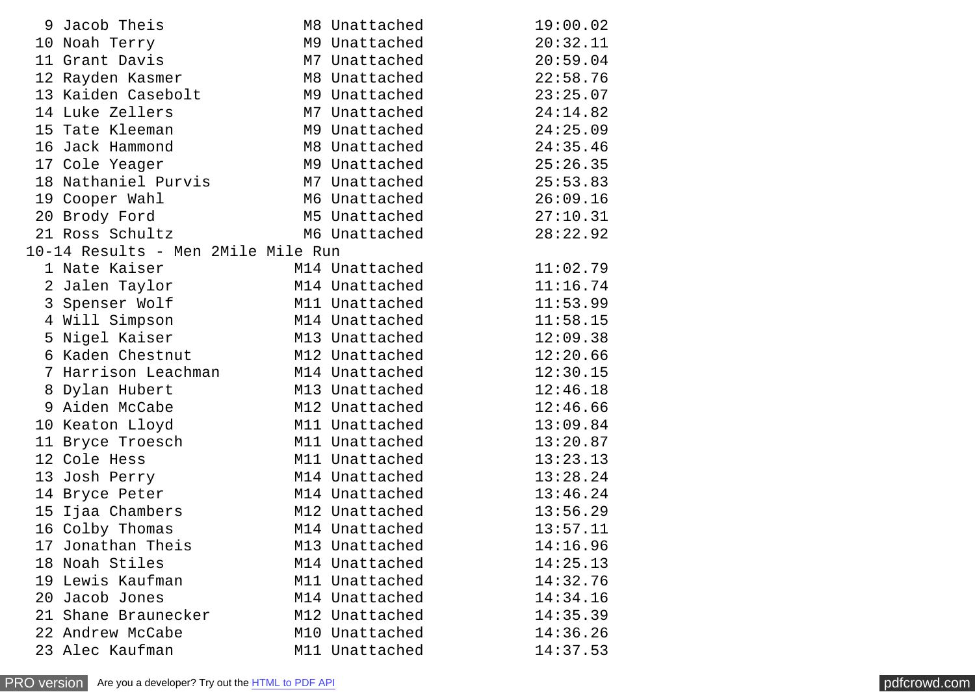| 9 Jacob Theis                      | M8 Unattached  | 19:00.02 |
|------------------------------------|----------------|----------|
| 10 Noah Terry                      | M9 Unattached  | 20:32.11 |
| 11 Grant Davis                     | M7 Unattached  | 20:59.04 |
| 12 Rayden Kasmer                   | M8 Unattached  | 22:58.76 |
| 13 Kaiden Casebolt                 | M9 Unattached  | 23:25.07 |
| 14 Luke Zellers                    | M7 Unattached  | 24:14.82 |
| 15 Tate Kleeman                    | M9 Unattached  | 24:25.09 |
| 16 Jack Hammond                    | M8 Unattached  | 24:35.46 |
| 17 Cole Yeager                     | M9 Unattached  | 25:26.35 |
| 18 Nathaniel Purvis                | M7 Unattached  | 25:53.83 |
| 19 Cooper Wahl                     | M6 Unattached  | 26:09.16 |
| 20 Brody Ford                      | M5 Unattached  | 27:10.31 |
| 21 Ross Schultz                    | M6 Unattached  | 28:22.92 |
| 10-14 Results - Men 2Mile Mile Run |                |          |
| 1 Nate Kaiser                      | M14 Unattached | 11:02.79 |
| 2 Jalen Taylor                     | M14 Unattached | 11:16.74 |
| 3 Spenser Wolf                     | M11 Unattached | 11:53.99 |
| 4 Will Simpson                     | M14 Unattached | 11:58.15 |
| 5 Nigel Kaiser                     | M13 Unattached | 12:09.38 |
| 6 Kaden Chestnut                   | M12 Unattached | 12:20.66 |
| 7 Harrison Leachman M14 Unattached |                | 12:30.15 |
| 8 Dylan Hubert                     | M13 Unattached | 12:46.18 |
| 9 Aiden McCabe                     | M12 Unattached | 12:46.66 |
| 10 Keaton Lloyd                    | M11 Unattached | 13:09.84 |
| 11 Bryce Troesch                   | M11 Unattached | 13:20.87 |
| 12 Cole Hess                       | M11 Unattached | 13:23.13 |
| 13 Josh Perry                      | M14 Unattached | 13:28.24 |
| 14 Bryce Peter                     | M14 Unattached | 13:46.24 |
| 15 Ijaa Chambers                   | M12 Unattached | 13:56.29 |
| 16 Colby Thomas                    | M14 Unattached | 13:57.11 |
| 17 Jonathan Theis                  | M13 Unattached | 14:16.96 |
| 18 Noah Stiles                     | M14 Unattached | 14:25.13 |
| 19 Lewis Kaufman                   | M11 Unattached | 14:32.76 |
| 20 Jacob Jones                     | M14 Unattached | 14:34.16 |
| 21 Shane Braunecker                | M12 Unattached | 14:35.39 |
| 22 Andrew McCabe                   | M10 Unattached | 14:36.26 |
| 23 Alec Kaufman                    | M11 Unattached | 14:37.53 |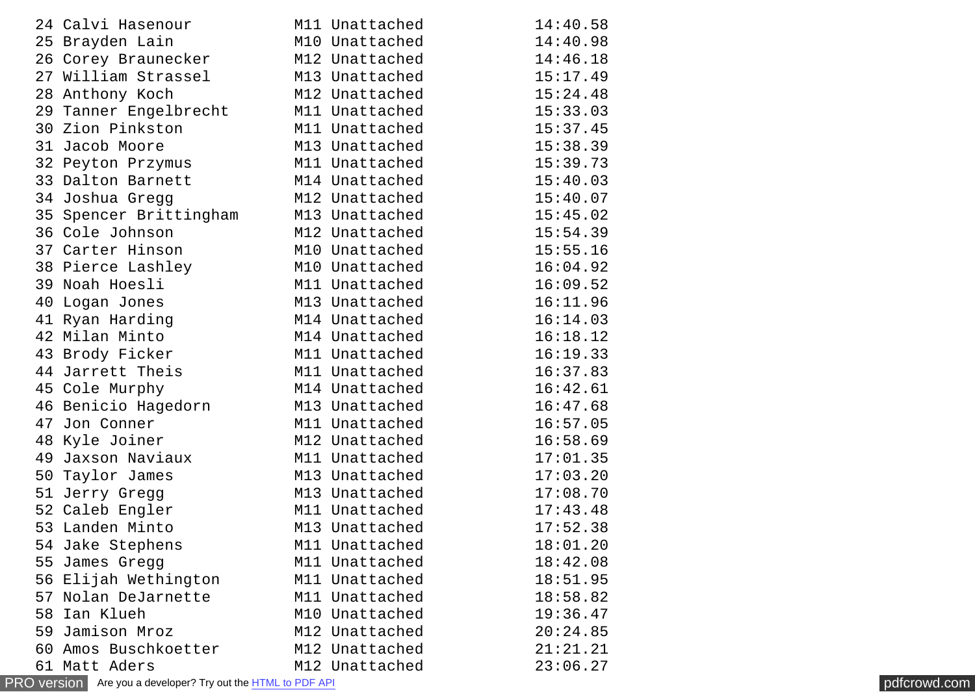|    | 24 Calvi Hasenour      | M11 Unattached | 14:40.58 |
|----|------------------------|----------------|----------|
|    | 25 Brayden Lain        | M10 Unattached | 14:40.98 |
|    | 26 Corey Braunecker    | M12 Unattached | 14:46.18 |
|    | 27 William Strassel    | M13 Unattached | 15:17.49 |
|    | 28 Anthony Koch        | M12 Unattached | 15:24.48 |
|    | 29 Tanner Engelbrecht  | M11 Unattached | 15:33.03 |
|    | 30 Zion Pinkston       | M11 Unattached | 15:37.45 |
|    | 31 Jacob Moore         | M13 Unattached | 15:38.39 |
|    | 32 Peyton Przymus      | M11 Unattached | 15:39.73 |
|    | 33 Dalton Barnett      | M14 Unattached | 15:40.03 |
|    | 34 Joshua Gregg        | M12 Unattached | 15:40.07 |
|    | 35 Spencer Brittingham | M13 Unattached | 15:45.02 |
|    | 36 Cole Johnson        | M12 Unattached | 15:54.39 |
|    | 37 Carter Hinson       | M10 Unattached | 15:55.16 |
|    | 38 Pierce Lashley      | M10 Unattached | 16:04.92 |
|    | 39 Noah Hoesli         | M11 Unattached | 16:09.52 |
|    | 40 Logan Jones         | M13 Unattached | 16:11.96 |
|    | 41 Ryan Harding        | M14 Unattached | 16:14.03 |
|    | 42 Milan Minto         | M14 Unattached | 16:18.12 |
|    | 43 Brody Ficker        | M11 Unattached | 16:19.33 |
|    | 44 Jarrett Theis       | M11 Unattached | 16:37.83 |
|    | 45 Cole Murphy         | M14 Unattached | 16:42.61 |
|    | 46 Benicio Hagedorn    | M13 Unattached | 16:47.68 |
|    | 47 Jon Conner          | M11 Unattached | 16:57.05 |
|    | 48 Kyle Joiner         | M12 Unattached | 16:58.69 |
|    | 49 Jaxson Naviaux      | M11 Unattached | 17:01.35 |
|    | 50 Taylor James        | M13 Unattached | 17:03.20 |
|    | 51 Jerry Gregg         | M13 Unattached | 17:08.70 |
|    | 52 Caleb Engler        | M11 Unattached | 17:43.48 |
|    | 53 Landen Minto        | M13 Unattached | 17:52.38 |
|    | 54 Jake Stephens       | M11 Unattached | 18:01.20 |
| 55 | James Gregg            | M11 Unattached | 18:42.08 |
| 56 | Elijah Wethington      | M11 Unattached | 18:51.95 |
| 57 | Nolan DeJarnette       | M11 Unattached | 18:58.82 |
| 58 | Ian Klueh              | M10 Unattached | 19:36.47 |
| 59 | Jamison Mroz           | M12 Unattached | 20:24.85 |
|    | 60 Amos Buschkoetter   | M12 Unattached | 21:21.21 |
|    | 61 Matt Aders          | M12 Unattached | 23:06.27 |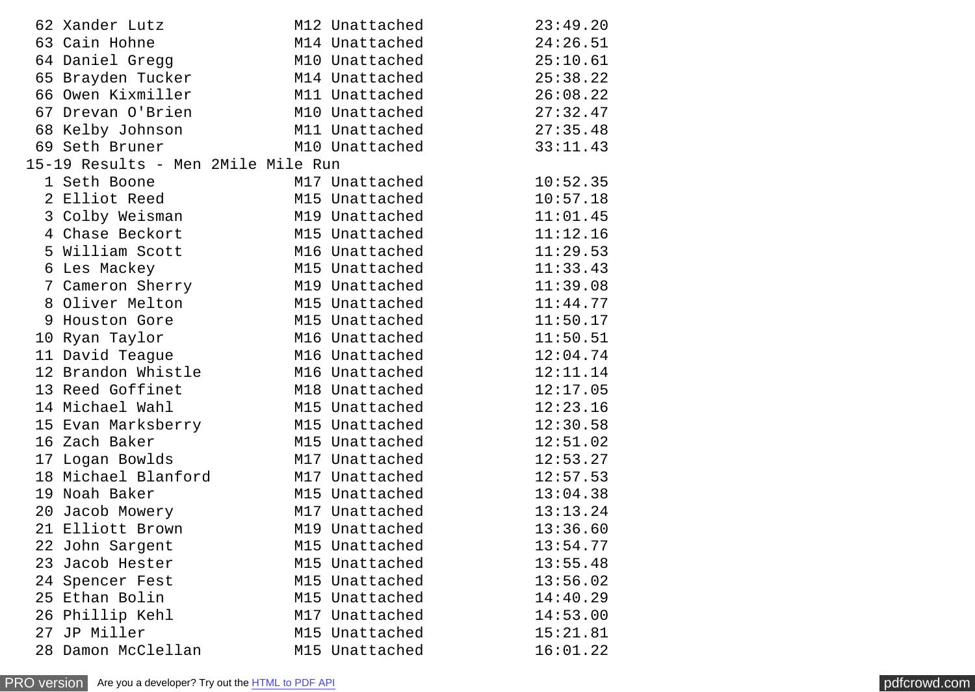| 62 Xander Lutz                     | M12 Unattached | 23:49.20 |
|------------------------------------|----------------|----------|
| 63 Cain Hohne                      | M14 Unattached | 24:26.51 |
| 64 Daniel Gregg                    | M10 Unattached | 25:10.61 |
| 65 Brayden Tucker                  | M14 Unattached | 25:38.22 |
| 66 Owen Kixmiller                  | M11 Unattached | 26:08.22 |
| 67 Drevan O'Brien                  | M10 Unattached | 27:32.47 |
| 68 Kelby Johnson                   | M11 Unattached | 27:35.48 |
| 69 Seth Bruner                     | M10 Unattached | 33:11.43 |
| 15-19 Results - Men 2Mile Mile Run |                |          |
| 1 Seth Boone                       | M17 Unattached | 10:52.35 |
| i setn Boone<br>2 Elliot Reed      | M15 Unattached | 10:57.18 |
| 3 Colby Weisman M19 Unattached     |                | 11:01.45 |
| 4 Chase Beckort M15 Unattached     |                | 11:12.16 |
| 5 William Scott                    | M16 Unattached | 11:29.53 |
| 6 Les Mackey                       | M15 Unattached | 11:33.43 |
| 7 Cameron Sherry M19 Unattached    |                | 11:39.08 |
| 8 Oliver Melton                    | M15 Unattached | 11:44.77 |
| 9 Houston Gore                     | M15 Unattached | 11:50.17 |
| 10 Ryan Taylor                     | M16 Unattached | 11:50.51 |
| 11 David Teague                    | M16 Unattached | 12:04.74 |
| 12 Brandon Whistle M16 Unattached  |                | 12:11.14 |
| 13 Reed Goffinet                   | M18 Unattached | 12:17.05 |
| 14 Michael Wahl                    | M15 Unattached | 12:23.16 |
| 15 Evan Marksberry M15 Unattached  |                | 12:30.58 |
| 16 Zach Baker                      | M15 Unattached | 12:51.02 |
| 17 Logan Bowlds                    | M17 Unattached | 12:53.27 |
| 18 Michael Blanford                | M17 Unattached | 12:57.53 |
| 19 Noah Baker                      | M15 Unattached | 13:04.38 |
| 20 Jacob Mowery                    | M17 Unattached | 13:13.24 |
| 21 Elliott Brown                   | M19 Unattached | 13:36.60 |
| 22 John Sargent                    | M15 Unattached | 13:54.77 |
| 23 Jacob Hester                    | M15 Unattached | 13:55.48 |
| 24 Spencer Fest                    | M15 Unattached | 13:56.02 |
| 25 Ethan Bolin                     | M15 Unattached | 14:40.29 |
| 26 Phillip Kehl                    | M17 Unattached | 14:53.00 |
| 27 JP Miller                       | M15 Unattached | 15:21.81 |
| 28 Damon McClellan                 | M15 Unattached | 16:01.22 |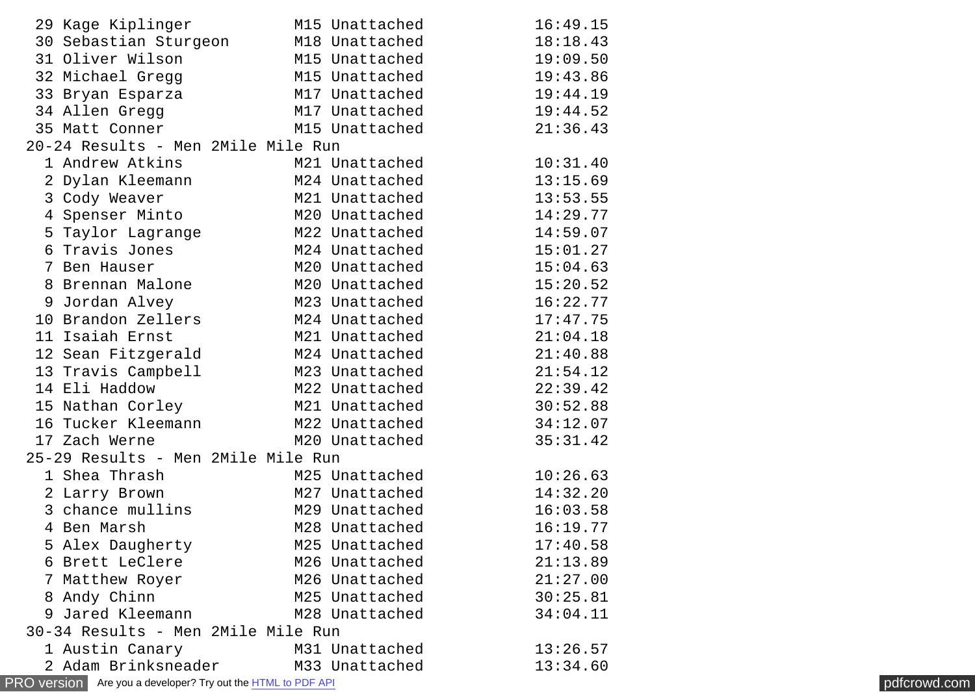| 29 Kage Kiplinger                                                   | M15 Unattached                     | 16:49.15 |              |  |  |  |
|---------------------------------------------------------------------|------------------------------------|----------|--------------|--|--|--|
| 30 Sebastian Sturgeon                                               | M18 Unattached                     | 18:18.43 |              |  |  |  |
| 31 Oliver Wilson                                                    | M15 Unattached                     | 19:09.50 |              |  |  |  |
| 32 Michael Gregg                                                    | M15 Unattached                     | 19:43.86 |              |  |  |  |
| 33 Bryan Esparza                                                    | M17 Unattached                     | 19:44.19 |              |  |  |  |
| 34 Allen Gregg                                                      | M17 Unattached                     | 19:44.52 |              |  |  |  |
| 35 Matt Conner                                                      | M15 Unattached                     | 21:36.43 |              |  |  |  |
| 20-24 Results - Men 2Mile Mile Run                                  |                                    |          |              |  |  |  |
| 1 Andrew Atkins                                                     | M21 Unattached                     | 10:31.40 |              |  |  |  |
| 2 Dylan Kleemann                                                    | M24 Unattached                     | 13:15.69 |              |  |  |  |
| 3 Cody Weaver                                                       | M21 Unattached                     | 13:53.55 |              |  |  |  |
| 4 Spenser Minto                                                     | M20 Unattached                     | 14:29.77 |              |  |  |  |
| 5 Taylor Lagrange                                                   | M22 Unattached                     | 14:59.07 |              |  |  |  |
| 6 Travis Jones                                                      | M24 Unattached                     | 15:01.27 |              |  |  |  |
| 7 Ben Hauser                                                        | M20 Unattached                     | 15:04.63 |              |  |  |  |
| 8 Brennan Malone                                                    | M20 Unattached                     | 15:20.52 |              |  |  |  |
| 9 Jordan Alvey                                                      | M23 Unattached                     | 16:22.77 |              |  |  |  |
| 10 Brandon Zellers                                                  | M24 Unattached                     | 17:47.75 |              |  |  |  |
| 11 Isaiah Ernst                                                     | M21 Unattached                     | 21:04.18 |              |  |  |  |
| 12 Sean Fitzgerald                                                  | M24 Unattached                     | 21:40.88 |              |  |  |  |
| 13 Travis Campbell                                                  | M23 Unattached                     | 21:54.12 |              |  |  |  |
| 14 Eli Haddow                                                       | M22 Unattached                     | 22:39.42 |              |  |  |  |
| 15 Nathan Corley                                                    | M21 Unattached                     | 30:52.88 |              |  |  |  |
| 16 Tucker Kleemann                                                  | M22 Unattached                     | 34:12.07 |              |  |  |  |
| 17 Zach Werne                                                       | M20 Unattached                     | 35:31.42 |              |  |  |  |
| 25-29 Results - Men 2Mile Mile Run                                  |                                    |          |              |  |  |  |
| 1 Shea Thrash                                                       | M25 Unattached                     | 10:26.63 |              |  |  |  |
| 2 Larry Brown                                                       | M27 Unattached                     | 14:32.20 |              |  |  |  |
| 3 chance mullins                                                    | M29 Unattached                     | 16:03.58 |              |  |  |  |
| 4 Ben Marsh                                                         | M28 Unattached                     | 16:19.77 |              |  |  |  |
| 5 Alex Daugherty                                                    | M25 Unattached                     | 17:40.58 |              |  |  |  |
| 6 Brett LeClere                                                     | M26 Unattached                     | 21:13.89 |              |  |  |  |
| 7 Matthew Royer                                                     | M26 Unattached                     | 21:27.00 |              |  |  |  |
| 8 Andy Chinn                                                        | M25 Unattached                     | 30:25.81 |              |  |  |  |
| 9 Jared Kleemann                                                    | M28 Unattached                     | 34:04.11 |              |  |  |  |
|                                                                     | 30-34 Results - Men 2Mile Mile Run |          |              |  |  |  |
| 1 Austin Canary                                                     | M31 Unattached                     | 13:26.57 |              |  |  |  |
| 2 Adam Brinksneader                                                 | M33 Unattached                     | 13:34.60 |              |  |  |  |
| PRO version Are you a developer? Try out the <b>HTML</b> to PDF API |                                    |          | pdfcrowd.com |  |  |  |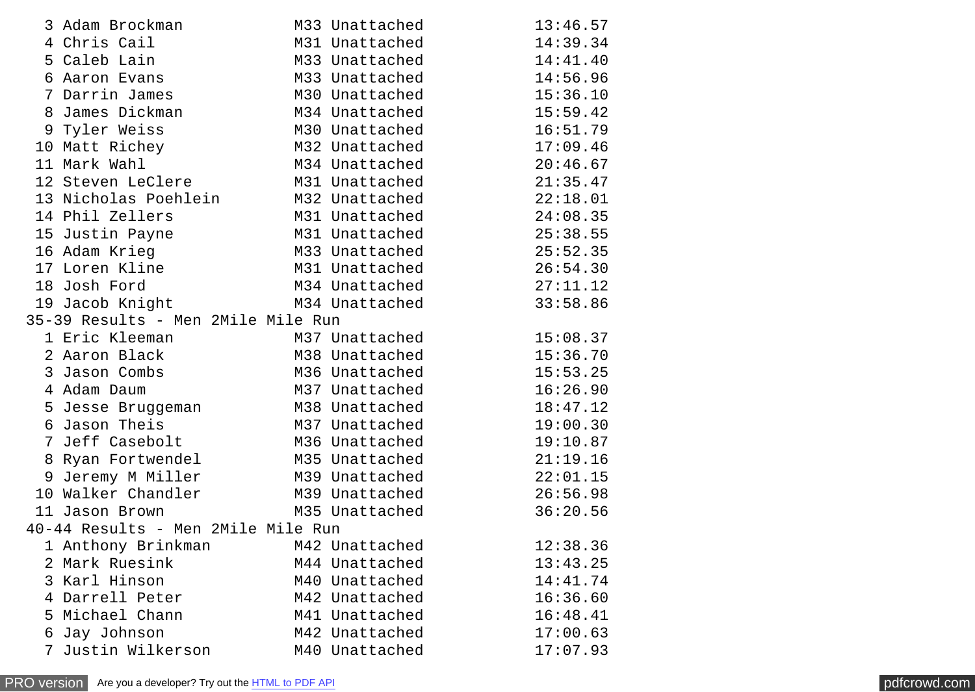|                                    | 3 Adam Brockman                                   |  | M33 Unattached | 13:46.57 |  |  |  |
|------------------------------------|---------------------------------------------------|--|----------------|----------|--|--|--|
|                                    | 4 Chris Cail                                      |  | M31 Unattached | 14:39.34 |  |  |  |
|                                    | 5 Caleb Lain                                      |  | M33 Unattached | 14:41.40 |  |  |  |
|                                    | 6 Aaron Evans                                     |  | M33 Unattached | 14:56.96 |  |  |  |
|                                    | 7 Darrin James                                    |  | M30 Unattached | 15:36.10 |  |  |  |
|                                    | 8 James Dickman                                   |  | M34 Unattached | 15:59.42 |  |  |  |
|                                    | 9 Tyler Weiss                                     |  | M30 Unattached | 16:51.79 |  |  |  |
|                                    | 10 Matt Richey                                    |  | M32 Unattached | 17:09.46 |  |  |  |
|                                    | 11 Mark Wahl                                      |  | M34 Unattached | 20:46.67 |  |  |  |
|                                    | 12 Steven LeClere                                 |  | M31 Unattached | 21:35.47 |  |  |  |
|                                    | 13 Nicholas Poehlein M32 Unattached               |  |                | 22:18.01 |  |  |  |
|                                    | 14 Phil Zellers                                   |  | M31 Unattached | 24:08.35 |  |  |  |
|                                    | 15 Justin Payne                                   |  | M31 Unattached | 25:38.55 |  |  |  |
|                                    | 16 Adam Krieg                                     |  | M33 Unattached | 25:52.35 |  |  |  |
|                                    | 17 Loren Kline                                    |  | M31 Unattached | 26:54.30 |  |  |  |
|                                    | 18 Josh Ford                                      |  | M34 Unattached | 27:11.12 |  |  |  |
|                                    | 19 Jacob Knight                                   |  | M34 Unattached | 33:58.86 |  |  |  |
|                                    | 35-39 Results - Men 2Mile Mile Run                |  |                |          |  |  |  |
|                                    | 1 Eric Kleeman<br>1 Eric Kleeman<br>2 Aaron Black |  | M37 Unattached | 15:08.37 |  |  |  |
|                                    |                                                   |  | M38 Unattached | 15:36.70 |  |  |  |
|                                    | 3 Jason Combs                                     |  | M36 Unattached | 15:53.25 |  |  |  |
|                                    | 4 Adam Daum                                       |  | M37 Unattached | 16:26.90 |  |  |  |
|                                    | 5 Jesse Bruggeman               M38 Unattached    |  |                | 18:47.12 |  |  |  |
|                                    | 6 Jason Theis                                     |  | M37 Unattached | 19:00.30 |  |  |  |
|                                    | 7 Jeff Casebolt                                   |  | M36 Unattached | 19:10.87 |  |  |  |
|                                    | 8 Ryan Fortwendel                                 |  | M35 Unattached | 21:19.16 |  |  |  |
|                                    | 9 Jeremy M Miller                                 |  | M39 Unattached | 22:01.15 |  |  |  |
|                                    | 10 Walker Chandler                                |  | M39 Unattached | 26:56.98 |  |  |  |
|                                    | 11 Jason Brown                                    |  | M35 Unattached | 36:20.56 |  |  |  |
| 40-44 Results - Men 2Mile Mile Run |                                                   |  |                |          |  |  |  |
|                                    | 1 Anthony Brinkman                                |  | M42 Unattached | 12:38.36 |  |  |  |
|                                    | 2 Mark Ruesink                                    |  | M44 Unattached | 13:43.25 |  |  |  |
|                                    | 3 Karl Hinson                                     |  | M40 Unattached | 14:41.74 |  |  |  |
|                                    | 4 Darrell Peter                                   |  | M42 Unattached | 16:36.60 |  |  |  |
|                                    | 5 Michael Chann                                   |  | M41 Unattached | 16:48.41 |  |  |  |
| 6                                  | Jay Johnson                                       |  | M42 Unattached | 17:00.63 |  |  |  |
| $\overline{7}$                     | Justin Wilkerson                                  |  | M40 Unattached | 17:07.93 |  |  |  |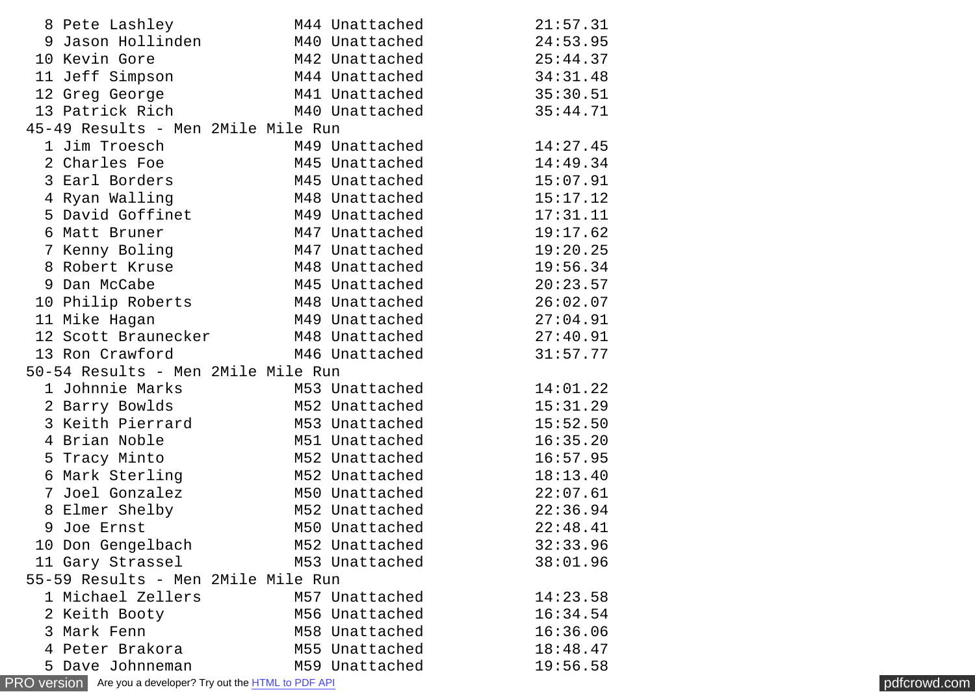|                                                                                            | 8 Pete Lashley                     | M44 Unattached | 21:57.31 |  |  |  |  |  |
|--------------------------------------------------------------------------------------------|------------------------------------|----------------|----------|--|--|--|--|--|
|                                                                                            | 9 Jason Hollinden                  | M40 Unattached | 24:53.95 |  |  |  |  |  |
|                                                                                            | 10 Kevin Gore                      | M42 Unattached | 25:44.37 |  |  |  |  |  |
|                                                                                            | 11 Jeff Simpson                    | M44 Unattached | 34:31.48 |  |  |  |  |  |
|                                                                                            | 12 Greg George                     | M41 Unattached | 35:30.51 |  |  |  |  |  |
|                                                                                            | 13 Patrick Rich                    | M40 Unattached | 35:44.71 |  |  |  |  |  |
| 45-49 Results - Men 2Mile Mile Run                                                         |                                    |                |          |  |  |  |  |  |
|                                                                                            | 1 Jim Troesch                      | M49 Unattached | 14:27.45 |  |  |  |  |  |
|                                                                                            | 2 Charles Foe                      | M45 Unattached | 14:49.34 |  |  |  |  |  |
|                                                                                            | 3 Earl Borders                     | M45 Unattached | 15:07.91 |  |  |  |  |  |
|                                                                                            | 4 Ryan Walling                     | M48 Unattached | 15:17.12 |  |  |  |  |  |
|                                                                                            | 5 David Goffinet                   | M49 Unattached | 17:31.11 |  |  |  |  |  |
|                                                                                            | 6 Matt Bruner                      | M47 Unattached | 19:17.62 |  |  |  |  |  |
|                                                                                            | 7 Kenny Boling                     | M47 Unattached | 19:20.25 |  |  |  |  |  |
|                                                                                            | 8 Robert Kruse                     | M48 Unattached | 19:56.34 |  |  |  |  |  |
|                                                                                            | 9 Dan McCabe                       | M45 Unattached | 20:23.57 |  |  |  |  |  |
|                                                                                            | 10 Philip Roberts                  | M48 Unattached | 26:02.07 |  |  |  |  |  |
|                                                                                            | 11 Mike Hagan                      | M49 Unattached | 27:04.91 |  |  |  |  |  |
|                                                                                            | 12 Scott Braunecker                | M48 Unattached | 27:40.91 |  |  |  |  |  |
|                                                                                            | 13 Ron Crawford                    | M46 Unattached | 31:57.77 |  |  |  |  |  |
|                                                                                            | 50-54 Results - Men 2Mile Mile Run |                |          |  |  |  |  |  |
|                                                                                            | 1 Johnnie Marks                    | M53 Unattached | 14:01.22 |  |  |  |  |  |
|                                                                                            | 2 Barry Bowlds                     | M52 Unattached | 15:31.29 |  |  |  |  |  |
|                                                                                            | 3 Keith Pierrard                   | M53 Unattached | 15:52.50 |  |  |  |  |  |
|                                                                                            | 4 Brian Noble                      | M51 Unattached | 16:35.20 |  |  |  |  |  |
|                                                                                            | 5 Tracy Minto                      | M52 Unattached | 16:57.95 |  |  |  |  |  |
|                                                                                            | 6 Mark Sterling                    | M52 Unattached | 18:13.40 |  |  |  |  |  |
|                                                                                            | 7 Joel Gonzalez                    | M50 Unattached | 22:07.61 |  |  |  |  |  |
|                                                                                            | 8 Elmer Shelby                     | M52 Unattached | 22:36.94 |  |  |  |  |  |
| 9                                                                                          | Joe Ernst                          | M50 Unattached | 22:48.41 |  |  |  |  |  |
|                                                                                            | 10 Don Gengelbach                  | M52 Unattached | 32:33.96 |  |  |  |  |  |
|                                                                                            | 11 Gary Strassel                   | M53 Unattached | 38:01.96 |  |  |  |  |  |
|                                                                                            | 55-59 Results - Men 2Mile Mile Run |                |          |  |  |  |  |  |
|                                                                                            | 1 Michael Zellers                  | M57 Unattached | 14:23.58 |  |  |  |  |  |
|                                                                                            | 2 Keith Booty                      | M56 Unattached | 16:34.54 |  |  |  |  |  |
|                                                                                            | 3 Mark Fenn                        | M58 Unattached | 16:36.06 |  |  |  |  |  |
|                                                                                            | 4 Peter Brakora                    | M55 Unattached | 18:48.47 |  |  |  |  |  |
|                                                                                            | 5 Dave Johnneman                   | M59 Unattached | 19:56.58 |  |  |  |  |  |
| <b>PRO version</b> Are you a developer? Try out the <b>HTML</b> to PDF API<br>pdfcrowd.com |                                    |                |          |  |  |  |  |  |